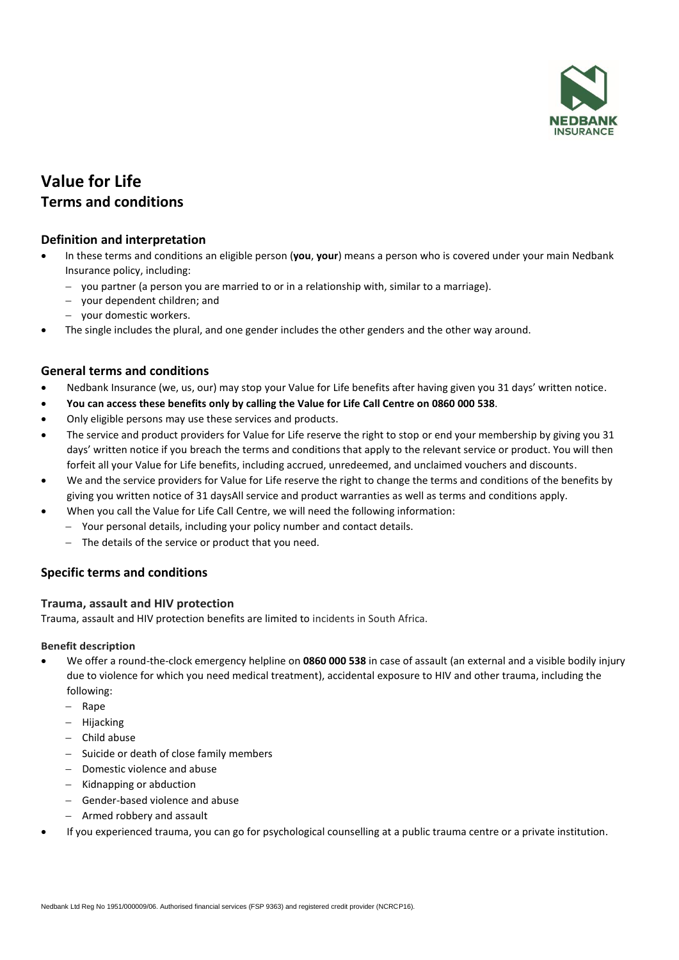

# **Value for Life Terms and conditions**

# **Definition and interpretation**

- In these terms and conditions an eligible person (**you**, **your**) means a person who is covered under your main Nedbank Insurance policy, including:
	- − you partner (a person you are married to or in a relationship with, similar to a marriage).
	- − your dependent children; and
	- − your domestic workers.
- The single includes the plural, and one gender includes the other genders and the other way around.

## **General terms and conditions**

- Nedbank Insurance (we, us, our) may stop your Value for Life benefits after having given you 31 days' written notice.
- **You can access these benefits only by calling the Value for Life Call Centre on 0860 000 538**.
- Only eligible persons may use these services and products.
- The service and product providers for Value for Life reserve the right to stop or end your membership by giving you 31 days' written notice if you breach the terms and conditions that apply to the relevant service or product. You will then forfeit all your Value for Life benefits, including accrued, unredeemed, and unclaimed vouchers and discounts.
- We and the service providers for Value for Life reserve the right to change the terms and conditions of the benefits by giving you written notice of 31 daysAll service and product warranties as well as terms and conditions apply.
- When you call the Value for Life Call Centre, we will need the following information:
	- − Your personal details, including your policy number and contact details.
	- − The details of the service or product that you need.

## **Specific terms and conditions**

## **Trauma, assault and HIV protection**

Trauma, assault and HIV protection benefits are limited to incidents in South Africa.

#### **Benefit description**

- We offer a round-the-clock emergency helpline on **0860 000 538** in case of assault (an external and a visible bodily injury due to violence for which you need medical treatment), accidental exposure to HIV and other trauma, including the following:
	- − Rape
	- − Hijacking
	- − Child abuse
	- − Suicide or death of close family members
	- − Domestic violence and abuse
	- − Kidnapping or abduction
	- − Gender-based violence and abuse
	- − Armed robbery and assault
- If you experienced trauma, you can go for psychological counselling at a public trauma centre or a private institution.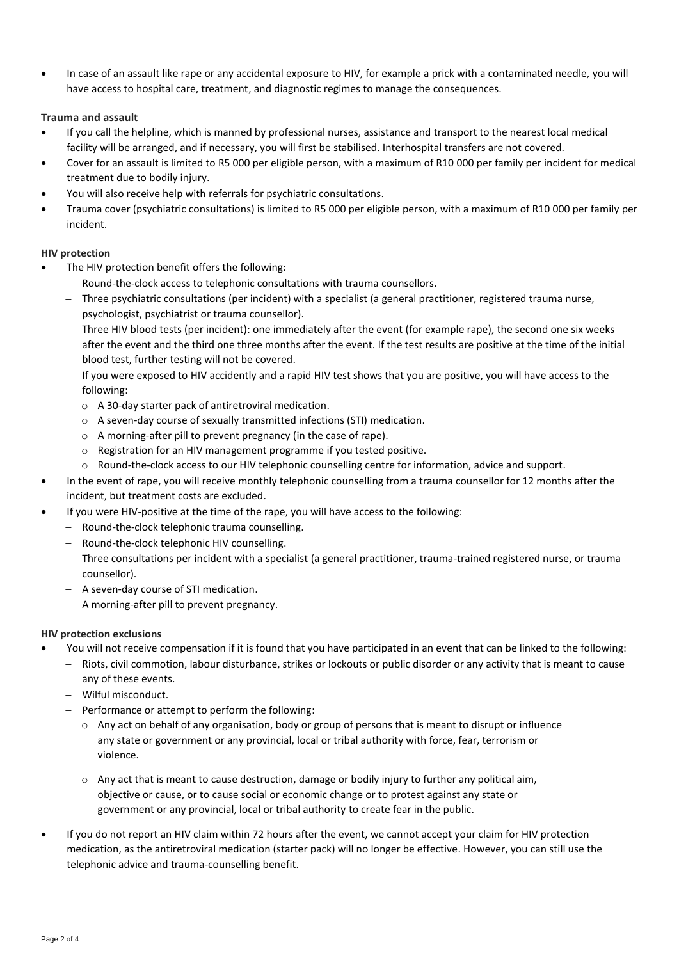• In case of an assault like rape or any accidental exposure to HIV, for example a prick with a contaminated needle, you will have access to hospital care, treatment, and diagnostic regimes to manage the consequences.

### **Trauma and assault**

- If you call the helpline, which is manned by professional nurses, assistance and transport to the nearest local medical facility will be arranged, and if necessary, you will first be stabilised. Interhospital transfers are not covered.
- Cover for an assault is limited to R5 000 per eligible person, with a maximum of R10 000 per family per incident for medical treatment due to bodily injury.
- You will also receive help with referrals for psychiatric consultations.
- Trauma cover (psychiatric consultations) is limited to R5 000 per eligible person, with a maximum of R10 000 per family per incident.

#### **HIV protection**

- The HIV protection benefit offers the following:
	- − Round-the-clock access to telephonic consultations with trauma counsellors.
	- − Three psychiatric consultations (per incident) with a specialist (a general practitioner, registered trauma nurse, psychologist, psychiatrist or trauma counsellor).
	- − Three HIV blood tests (per incident): one immediately after the event (for example rape), the second one six weeks after the event and the third one three months after the event. If the test results are positive at the time of the initial blood test, further testing will not be covered.
	- − If you were exposed to HIV accidently and a rapid HIV test shows that you are positive, you will have access to the following:
		- o A 30-day starter pack of antiretroviral medication.
		- o A seven-day course of sexually transmitted infections (STI) medication.
		- o A morning-after pill to prevent pregnancy (in the case of rape).
		- o Registration for an HIV management programme if you tested positive.
		- o Round-the-clock access to our HIV telephonic counselling centre for information, advice and support.
- In the event of rape, you will receive monthly telephonic counselling from a trauma counsellor for 12 months after the incident, but treatment costs are excluded.
- If you were HIV-positive at the time of the rape, you will have access to the following:
	- − Round-the-clock telephonic trauma counselling.
	- − Round-the-clock telephonic HIV counselling.
	- − Three consultations per incident with a specialist (a general practitioner, trauma-trained registered nurse, or trauma counsellor).
	- − A seven-day course of STI medication.
	- − A morning-after pill to prevent pregnancy.

#### **HIV protection exclusions**

- You will not receive compensation if it is found that you have participated in an event that can be linked to the following:
	- − Riots, civil commotion, labour disturbance, strikes or lockouts or public disorder or any activity that is meant to cause
		- any of these events.
	- − Wilful misconduct.
	- − Performance or attempt to perform the following:
		- $\circ$  Any act on behalf of any organisation, body or group of persons that is meant to disrupt or influence any state or government or any provincial, local or tribal authority with force, fear, terrorism or violence.
		- $\circ$  Any act that is meant to cause destruction, damage or bodily injury to further any political aim, objective or cause, or to cause social or economic change or to protest against any state or government or any provincial, local or tribal authority to create fear in the public.
- If you do not report an HIV claim within 72 hours after the event, we cannot accept your claim for HIV protection medication, as the antiretroviral medication (starter pack) will no longer be effective. However, you can still use the telephonic advice and trauma-counselling benefit.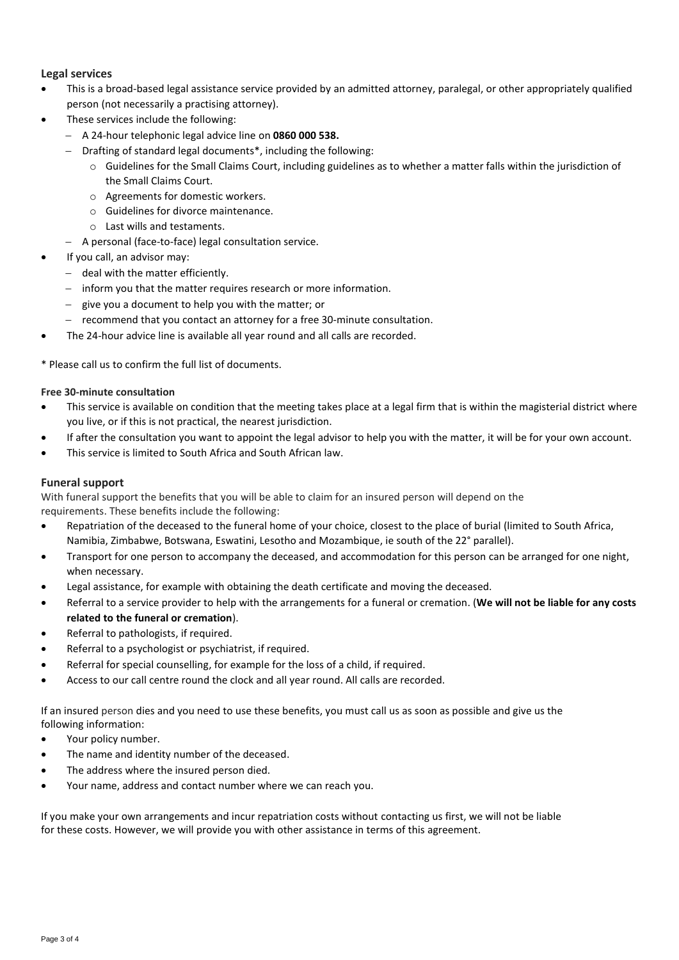## **Legal services**

- This is a broad-based legal assistance service provided by an admitted attorney, paralegal, or other appropriately qualified person (not necessarily a practising attorney).
- These services include the following:
	- − A 24-hour telephonic legal advice line on **0860 000 538.**
	- − Drafting of standard legal documents\*, including the following:
		- o Guidelines for the Small Claims Court, including guidelines as to whether a matter falls within the jurisdiction of the Small Claims Court.
		- o Agreements for domestic workers.
		- o Guidelines for divorce maintenance.
		- o Last wills and testaments.
	- − A personal (face-to-face) legal consultation service.
- If you call, an advisor may:
	- − deal with the matter efficiently.
	- − inform you that the matter requires research or more information.
	- − give you a document to help you with the matter; or
	- − recommend that you contact an attorney for a free 30-minute consultation.
- The 24-hour advice line is available all year round and all calls are recorded.

\* Please call us to confirm the full list of documents.

#### **Free 30-minute consultation**

- This service is available on condition that the meeting takes place at a legal firm that is within the magisterial district where you live, or if this is not practical, the nearest jurisdiction.
- If after the consultation you want to appoint the legal advisor to help you with the matter, it will be for your own account.
- This service is limited to South Africa and South African law.

#### **Funeral support**

With funeral support the benefits that you will be able to claim for an insured person will depend on the requirements. These benefits include the following:

- Repatriation of the deceased to the funeral home of your choice, closest to the place of burial (limited to South Africa, Namibia, Zimbabwe, Botswana, Eswatini, Lesotho and Mozambique, ie south of the 22° parallel).
- Transport for one person to accompany the deceased, and accommodation for this person can be arranged for one night, when necessary.
- Legal assistance, for example with obtaining the death certificate and moving the deceased.
- Referral to a service provider to help with the arrangements for a funeral or cremation. (**We will not be liable for any costs related to the funeral or cremation**).
- Referral to pathologists, if required.
- Referral to a psychologist or psychiatrist, if required.
- Referral for special counselling, for example for the loss of a child, if required.
- Access to our call centre round the clock and all year round. All calls are recorded.

If an insured person dies and you need to use these benefits, you must call us as soon as possible and give us the following information:

- Your policy number.
- The name and identity number of the deceased.
- The address where the insured person died.
- Your name, address and contact number where we can reach you.

If you make your own arrangements and incur repatriation costs without contacting us first, we will not be liable for these costs. However, we will provide you with other assistance in terms of this agreement.